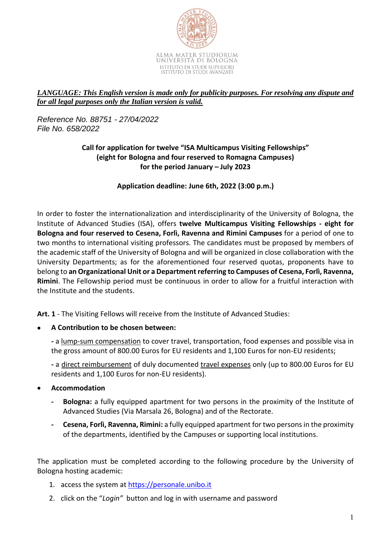

## *LANGUAGE: This English version is made only for publicity purposes. For resolving any dispute and for all legal purposes only the Italian version is valid.*

*Reference No. 88751 - 27/04/2022 File No. 658/2022*

## **Call for application for twelve "ISA Multicampus Visiting Fellowships" (eight for Bologna and four reserved to Romagna Campuses) for the period January – July 2023**

**Application deadline: June 6th, 2022 (3:00 p.m.)**

In order to foster the internationalization and interdisciplinarity of the University of Bologna, the Institute of Advanced Studies (ISA), offers **twelve Multicampus Visiting Fellowships - eight for Bologna and four reserved to Cesena, Forlì, Ravenna and Rimini Campuses** for a period of one to two months to international visiting professors. The candidates must be proposed by members of the academic staff of the University of Bologna and will be organized in close collaboration with the University Departments; as for the aforementioned four reserved quotas, proponents have to belong to **an Organizational Unit or a Department referring to Campuses of Cesena, Forlì, Ravenna, Rimini**. The Fellowship period must be continuous in order to allow for a fruitful interaction with the Institute and the students.

**Art. 1** - The Visiting Fellows will receive from the Institute of Advanced Studies:

**A Contribution to be chosen between:**

**-** a lump-sum compensation to cover travel, transportation, food expenses and possible visa in the gross amount of 800.00 Euros for EU residents and 1,100 Euros for non-EU residents;

**-** a direct reimbursement of duly documented travel expenses only (up to 800.00 Euros for EU residents and 1,100 Euros for non-EU residents).

- **Accommodation**
	- **- Bologna:** a fully equipped apartment for two persons in the proximity of the Institute of Advanced Studies (Via Marsala 26, Bologna) and of the Rectorate.
	- **- Cesena, Forlì, Ravenna, Rimini:** a fully equipped apartment for two personsin the proximity of the departments, identified by the Campuses or supporting local institutions.

The application must be completed according to the following procedure by the University of Bologna hosting academic:

- 1. access the system at [https://personale.unibo.it](https://personale.unibo.it/)
- 2. click on the "*Login"* button and log in with username and password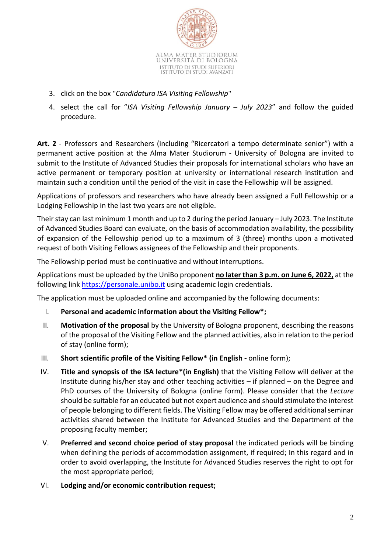

- 3. click on the box "*Candidatura ISA Visiting Fellowship*"
- 4. select the call for "*ISA Visiting Fellowship January – July 2023*" and follow the guided procedure.

**Art. 2** - Professors and Researchers (including "Ricercatori a tempo determinate senior") with a permanent active position at the Alma Mater Studiorum - University of Bologna are invited to submit to the Institute of Advanced Studies their proposals for international scholars who have an active permanent or temporary position at university or international research institution and maintain such a condition until the period of the visit in case the Fellowship will be assigned.

Applications of professors and researchers who have already been assigned a Full Fellowship or a Lodging Fellowship in the last two years are not eligible.

Their stay can last minimum 1 month and up to 2 during the period January – July 2023. The Institute of Advanced Studies Board can evaluate, on the basis of accommodation availability, the possibility of expansion of the Fellowship period up to a maximum of 3 (three) months upon a motivated request of both Visiting Fellows assignees of the Fellowship and their proponents.

The Fellowship period must be continuative and without interruptions.

Applications must be uploaded by the UniBo proponent **no later than 3 p.m. on June 6, 2022,** at the following link [https://personale.unibo.it](https://personale.unibo.it/) using academic login credentials.

The application must be uploaded online and accompanied by the following documents:

- I. **Personal and academic information about the Visiting Fellow\*;**
- II. **Motivation of the proposal** by the University of Bologna proponent, describing the reasons of the proposal of the Visiting Fellow and the planned activities, also in relation to the period of stay (online form);
- III. **Short scientific profile of the Visiting Fellow\* (in English -** online form);
- IV. **Title and synopsis of the ISA lecture\*(in English)** that the Visiting Fellow will deliver at the Institute during his/her stay and other teaching activities – if planned – on the Degree and PhD courses of the University of Bologna (online form). Please consider that the *Lecture* should be suitable for an educated but not expert audience and should stimulate the interest of people belonging to different fields. The Visiting Fellow may be offered additional seminar activities shared between the Institute for Advanced Studies and the Department of the proposing faculty member;
- V. **Preferred and second choice period of stay proposal** the indicated periods will be binding when defining the periods of accommodation assignment, if required; In this regard and in order to avoid overlapping, the Institute for Advanced Studies reserves the right to opt for the most appropriate period;
- VI. **Lodging and/or economic contribution request;**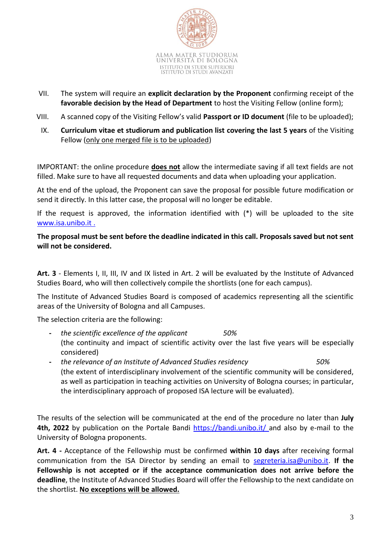

- VII. The system will require an **explicit declaration by the Proponent** confirming receipt of the **favorable decision by the Head of Department** to host the Visiting Fellow (online form);
- VIII. A scanned copy of the Visiting Fellow's valid **Passport or ID document** (file to be uploaded);
- IX. **Curriculum vitae et studiorum and publication list covering the last 5 years** of the Visiting Fellow (only one merged file is to be uploaded)

IMPORTANT: the online procedure **does not** allow the intermediate saving if all text fields are not filled. Make sure to have all requested documents and data when uploading your application.

At the end of the upload, the Proponent can save the proposal for possible future modification or send it directly. In this latter case, the proposal will no longer be editable.

If the request is approved, the information identified with (\*) will be uploaded to the site [www.isa.unibo.it](http://www.isa.unibo.it/) .

**The proposal must be sent before the deadline indicated in this call. Proposals saved but not sent will not be considered.**

**Art. 3** - Elements I, II, III, IV and IX listed in Art. 2 will be evaluated by the Institute of Advanced Studies Board, who will then collectively compile the shortlists (one for each campus).

The Institute of Advanced Studies Board is composed of academics representing all the scientific areas of the University of Bologna and all Campuses.

The selection criteria are the following:

- **-** *the scientific excellence of the applicant 50%* (the continuity and impact of scientific activity over the last five years will be especially considered)
- **-** *the relevance of an Institute of Advanced Studies residency 50%* (the extent of interdisciplinary involvement of the scientific community will be considered, as well as participation in teaching activities on University of Bologna courses; in particular, the interdisciplinary approach of proposed ISA lecture will be evaluated).

The results of the selection will be communicated at the end of the procedure no later than **July 4th, 2022** by publication on the Portale Bandi<https://bandi.unibo.it/> and also by e-mail to the University of Bologna proponents.

**Art. 4 -** Acceptance of the Fellowship must be confirmed **within 10 days** after receiving formal communication from the ISA Director by sending an email to [segreteria.isa@unibo.it.](mailto:segreteria.isa@unibo.it) **If the Fellowship is not accepted or if the acceptance communication does not arrive before the deadline**, the Institute of Advanced Studies Board will offer the Fellowship to the next candidate on the shortlist. **No exceptions will be allowed.**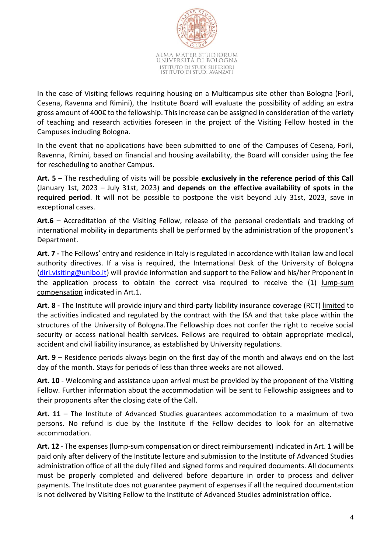

In the case of Visiting fellows requiring housing on a Multicampus site other than Bologna (Forlì, Cesena, Ravenna and Rimini), the Institute Board will evaluate the possibility of adding an extra gross amount of 400€ to the fellowship. This increase can be assigned in consideration of the variety of teaching and research activities foreseen in the project of the Visiting Fellow hosted in the Campuses including Bologna.

In the event that no applications have been submitted to one of the Campuses of Cesena, Forlì, Ravenna, Rimini, based on financial and housing availability, the Board will consider using the fee for rescheduling to another Campus.

**Art. 5** – The rescheduling of visits will be possible **exclusively in the reference period of this Call** (January 1st, 2023 – July 31st, 2023) **and depends on the effective availability of spots in the required period**. It will not be possible to postpone the visit beyond July 31st, 2023, save in exceptional cases.

**Art.6** – Accreditation of the Visiting Fellow, release of the personal credentials and tracking of international mobility in departments shall be performed by the administration of the proponent's Department.

**Art. 7 -** The Fellows' entry and residence in Italy is regulated in accordance with Italian law and local authority directives. If a visa is required, the International Desk of the University of Bologna [\(diri.visiting@unibo.it\)](mailto:diri.visiting@unibo.it) will provide information and support to the Fellow and his/her Proponent in the application process to obtain the correct visa required to receive the (1) lump-sum compensation indicated in Art.1.

**Art. 8 -** The Institute will provide injury and third-party liability insurance coverage (RCT) limited to the activities indicated and regulated by the contract with the ISA and that take place within the structures of the University of Bologna.The Fellowship does not confer the right to receive social security or access national health services. Fellows are required to obtain appropriate medical, accident and civil liability insurance, as established by University regulations.

**Art. 9** – Residence periods always begin on the first day of the month and always end on the last day of the month. Stays for periods of less than three weeks are not allowed.

**Art. 10** - Welcoming and assistance upon arrival must be provided by the proponent of the Visiting Fellow. Further information about the accommodation will be sent to Fellowship assignees and to their proponents after the closing date of the Call.

**Art. 11** – The Institute of Advanced Studies guarantees accommodation to a maximum of two persons. No refund is due by the Institute if the Fellow decides to look for an alternative accommodation.

**Art. 12** - The expenses (lump-sum compensation or direct reimbursement) indicated in Art. 1 will be paid only after delivery of the Institute lecture and submission to the Institute of Advanced Studies administration office of all the duly filled and signed forms and required documents. All documents must be properly completed and delivered before departure in order to process and deliver payments. The Institute does not guarantee payment of expenses if all the required documentation is not delivered by Visiting Fellow to the Institute of Advanced Studies administration office.